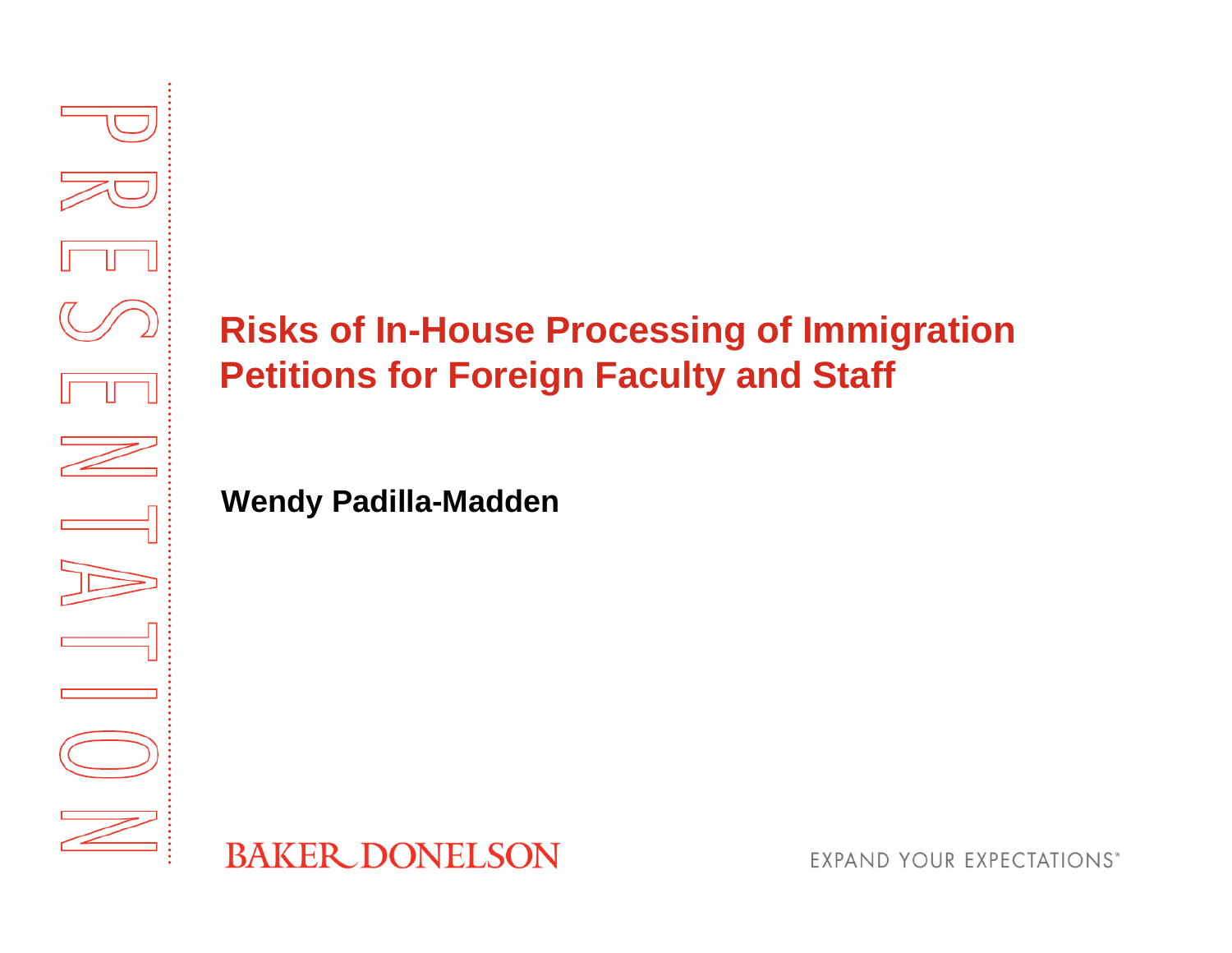

# **Risks of In-House Processing of Immigration Petitions for Foreign Faculty and Staff**

**Wendy Padilla-Madden**



**EXPAND YOUR EXPECTATIONS\***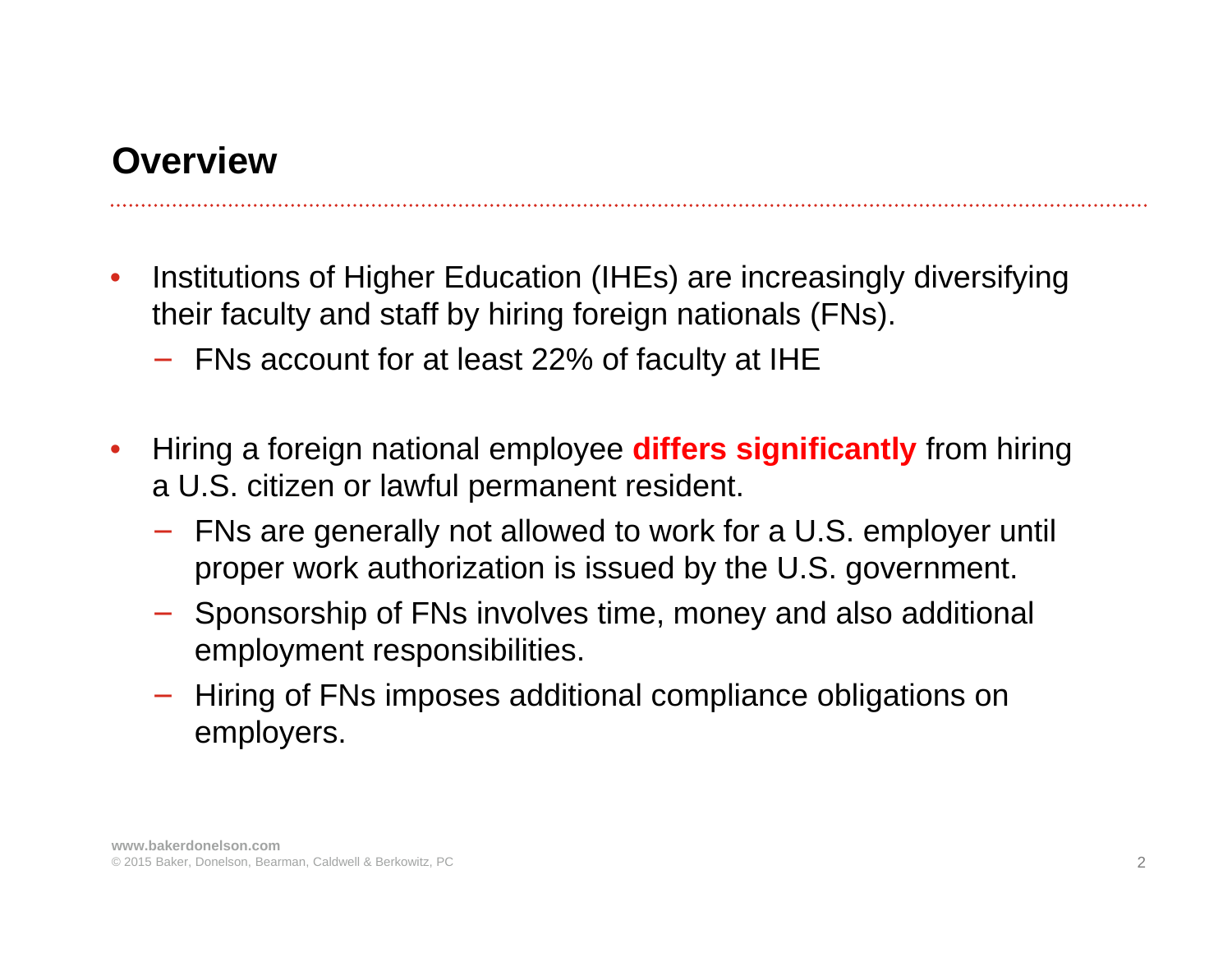#### **Overview**

- • Institutions of Higher Education (IHEs) are increasingly diversifying their faculty and staff by hiring foreign nationals (FNs).
	- − FNs account for at least 22% of faculty at IHE
- • Hiring a foreign national employee **differs significantly** from hiring a U.S. citizen or lawful permanent resident.
	- FNs are generally not allowed to work for a U.S. employer until proper work authorization is issued by the U.S. government.
	- − Sponsorship of FNs involves time, money and also additional employment responsibilities.
	- Hiring of FNs imposes additional compliance obligations on employers.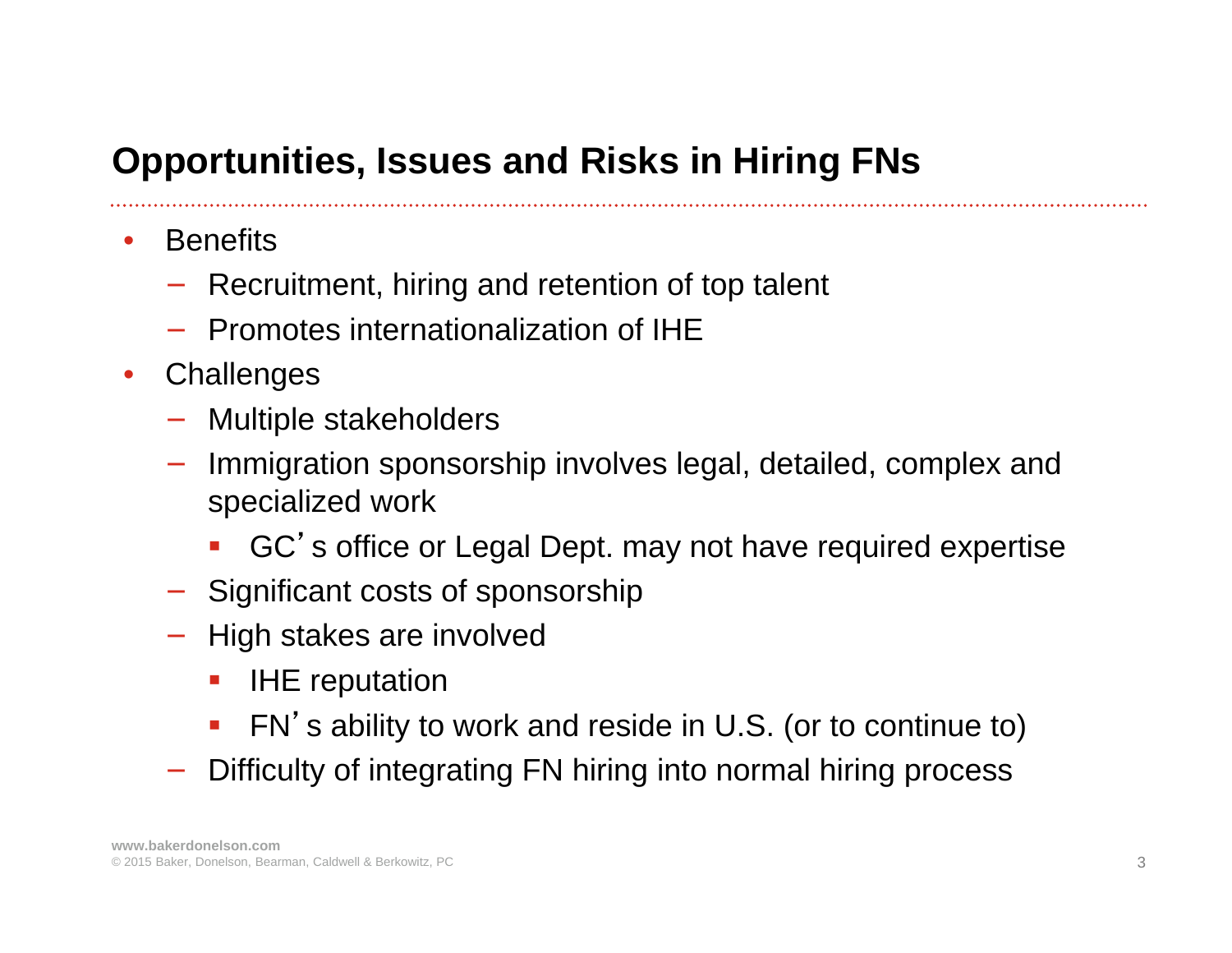# **Opportunities, Issues and Risks in Hiring FNs**

- $\bullet$ **Benefits** 
	- − Recruitment, hiring and retention of top talent
	- − Promotes internationalization of IHE
- $\bullet$ **Challenges** 
	- − Multiple stakeholders
	- Immigration sponsorship involves legal, detailed, complex and specialized work
		- Ŧ GC's office or Legal Dept. may not have required expertise
	- − Significant costs of sponsorship
	- − High stakes are involved
		- **IHE reputation**
		- Ŧ FN's ability to work and reside in U.S. (or to continue to)
	- Difficulty of integrating FN hiring into normal hiring process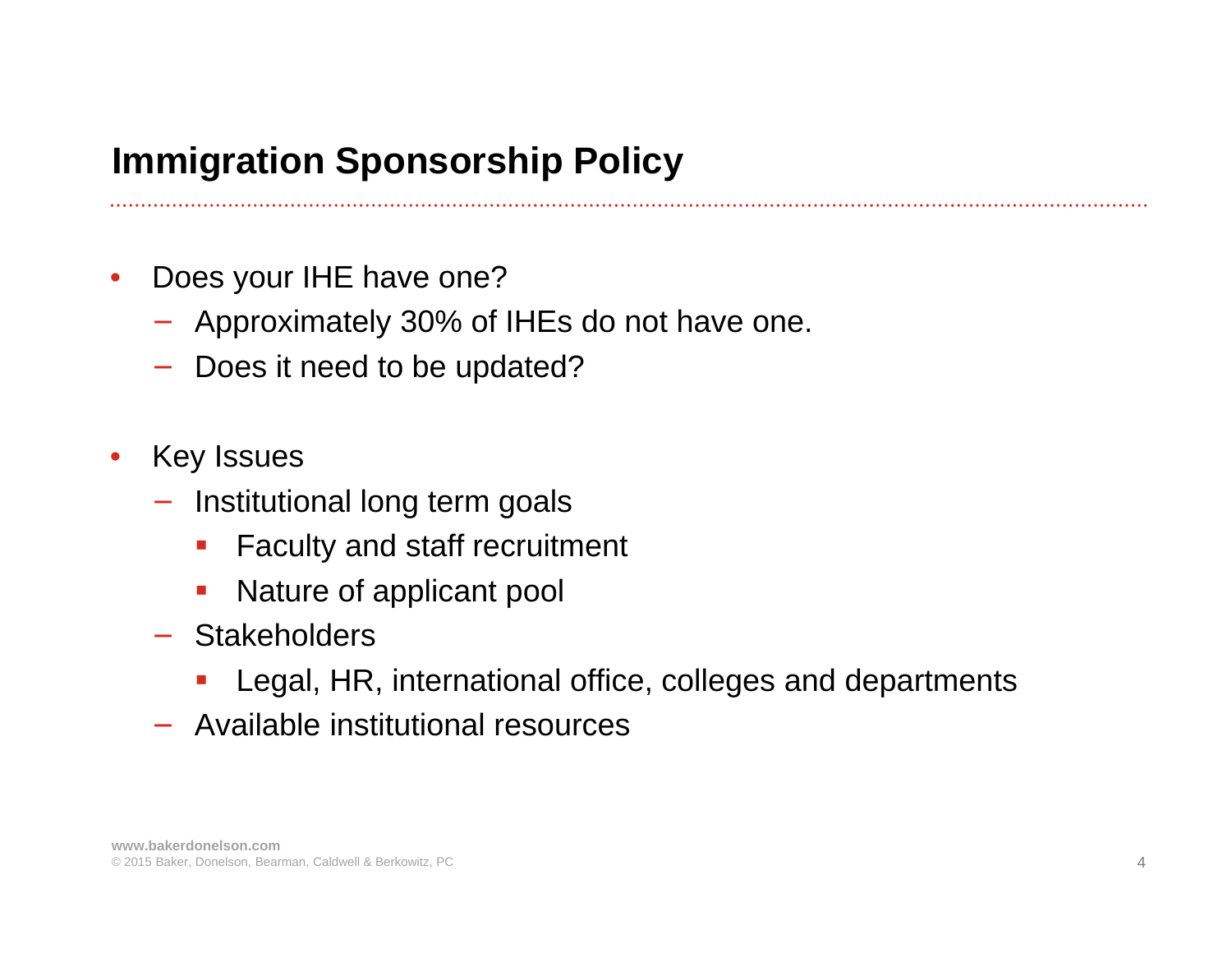# **Immigration Sponsorship Policy**

- $\bullet$  Does your IHE have one?
	- − Approximately 30% of IHEs do not have one.
	- Does it need to be updated?
- • Key Issues
	- − Institutional long term goals
		- $\mathcal{L}_{\mathcal{A}}$ Faculty and staff recruitment
		- an<br>M Nature of applicant pool
	- − Stakeholders
		- $\mathcal{L}(\mathcal{L})$ Legal, HR, international office, colleges and departments
	- − Available institutional resources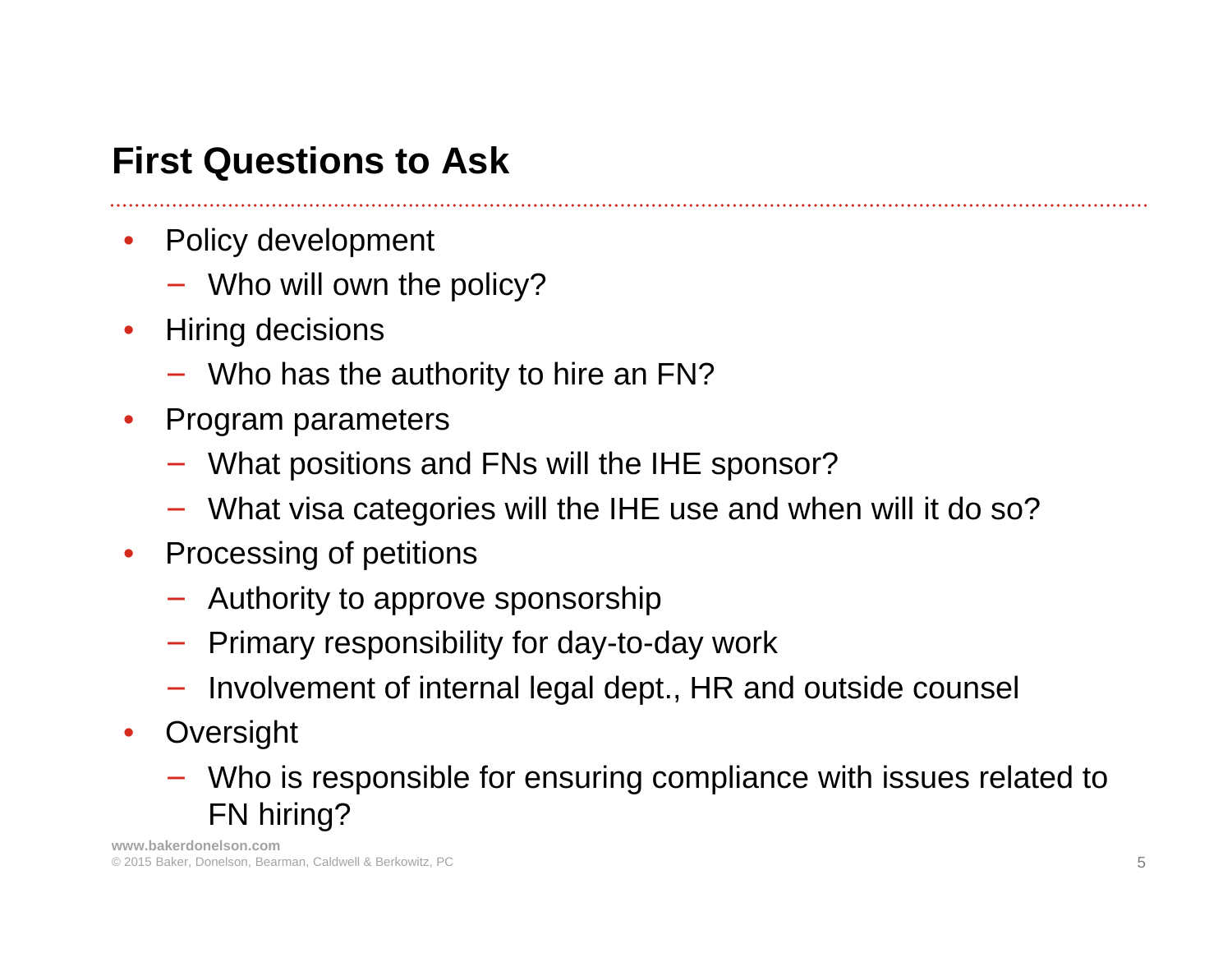# **First Questions to Ask**

- $\bullet$  Policy development
	- − Who will own the policy?
- $\bullet$  Hiring decisions
	- − Who has the authority to hire an FN?
- $\bullet$  Program parameters
	- − What positions and FNs will the IHE sponsor?
	- − What visa categories will the IHE use and when will it do so?
- $\bullet$  Processing of petitions
	- − Authority to approve sponsorship
	- − Primary responsibility for day-to-day work
	- − Involvement of internal legal dept., HR and outside counsel
- Oversight
	- − Who is responsible for ensuring compliance with issues related to FN hiring?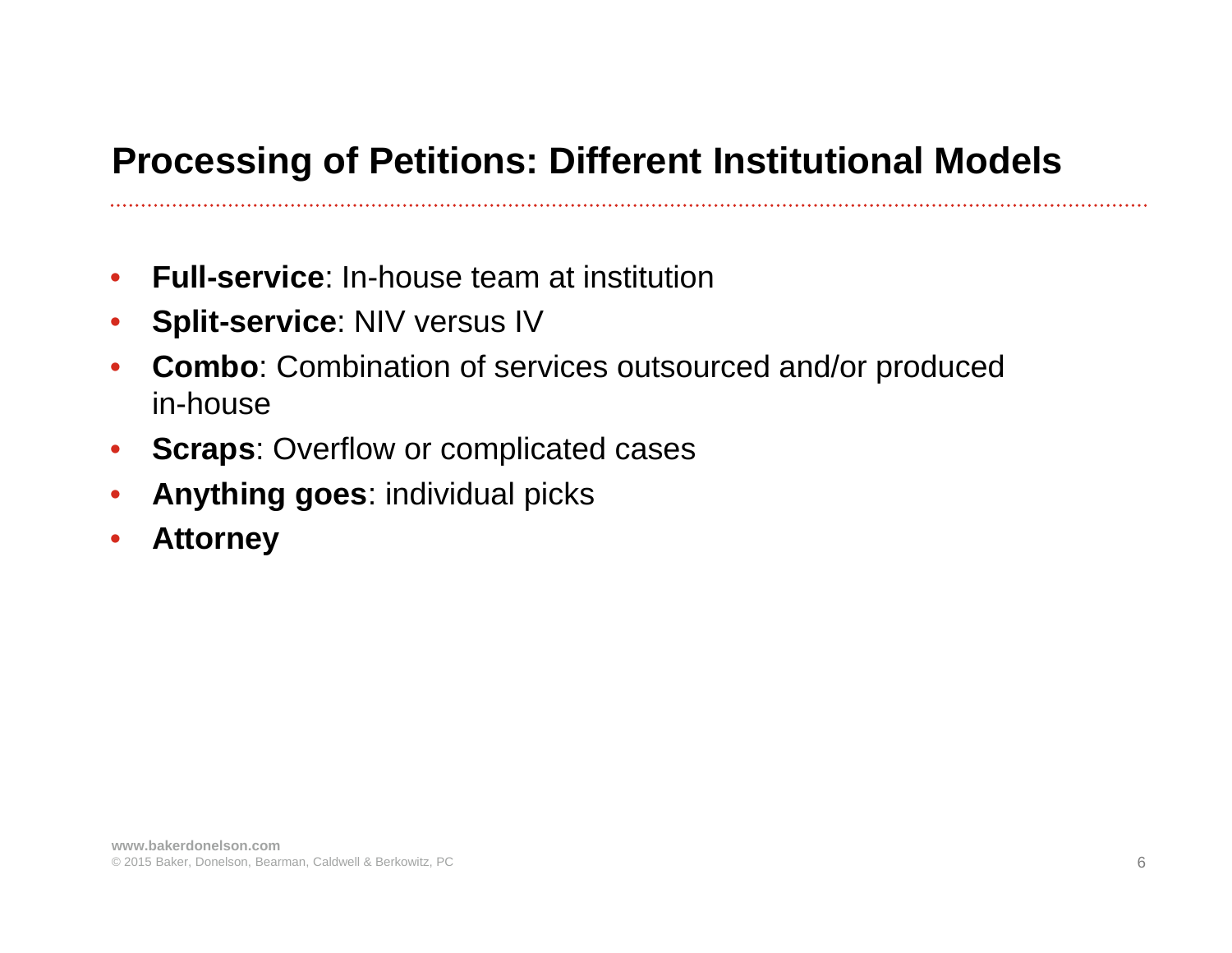# **Processing of Petitions: Different Institutional Models**

- $\bullet$ **Full-service**: In-house team at institution
- $\bullet$ **Split-service**: NIV versus IV
- $\bullet$  **Combo**: Combination of services outsourced and/or produced in-house
- **Scraps**: Overflow or complicated cases
- $\bullet$ **Anything goes**: individual picks
- •**Attorney**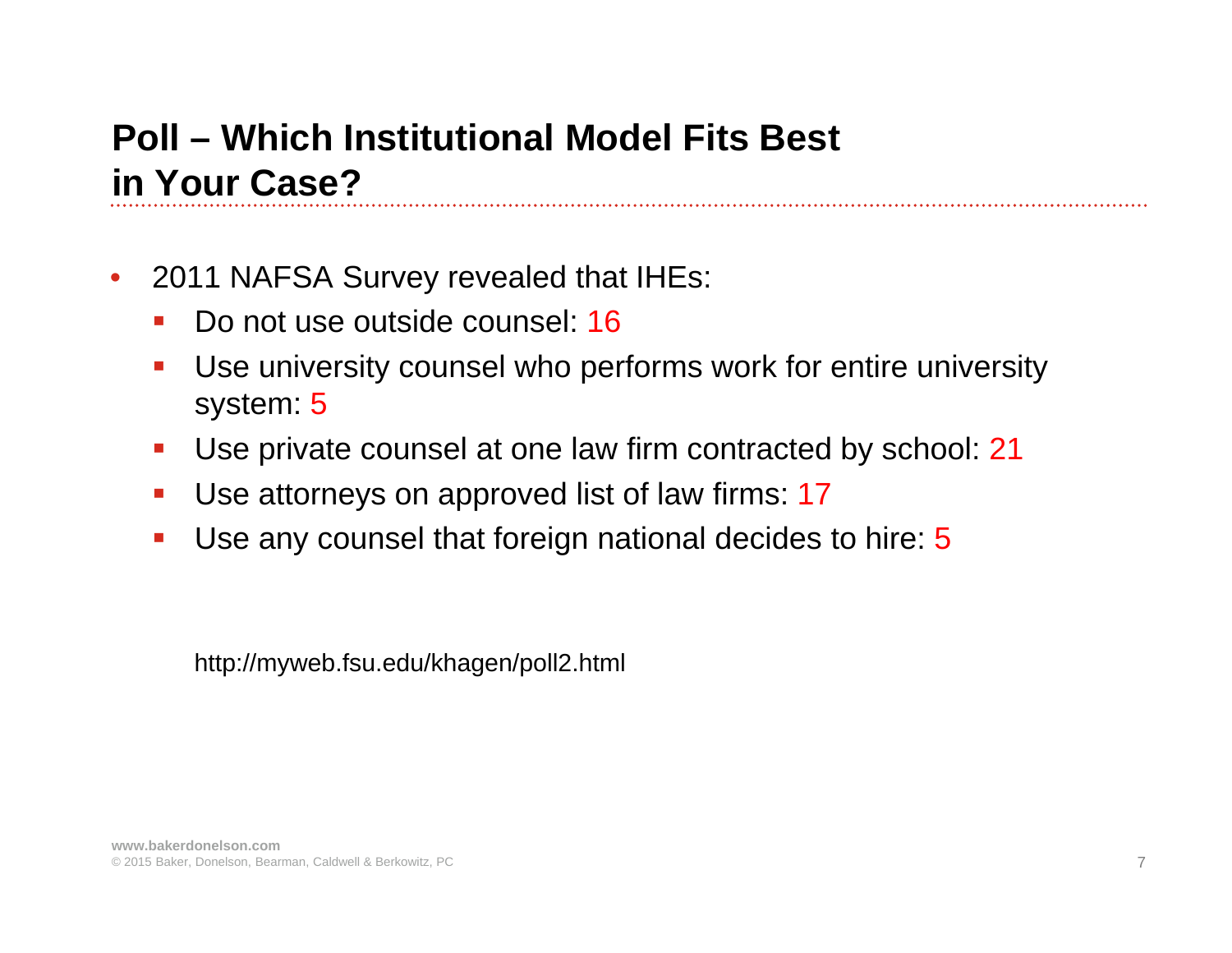#### **Poll – Which Institutional Model Fits Best in Your Case?**

- $\bullet$  2011 NAFSA Survey revealed that IHEs:
	- $\mathcal{L}_{\mathcal{A}}$ Do not use outside counsel: 16
	- $\blacksquare$  Use university counsel who performs work for entire university system: 5
	- $\mathcal{L}_{\mathcal{A}}$ Use private counsel at one law firm contracted by school: 21
	- $\mathcal{L}_{\mathcal{A}}$ Use attorneys on approved list of law firms: 17
	- $\blacksquare$ Use any counsel that foreign national decides to hire: 5

http://myweb.fsu.edu/khagen/poll2.html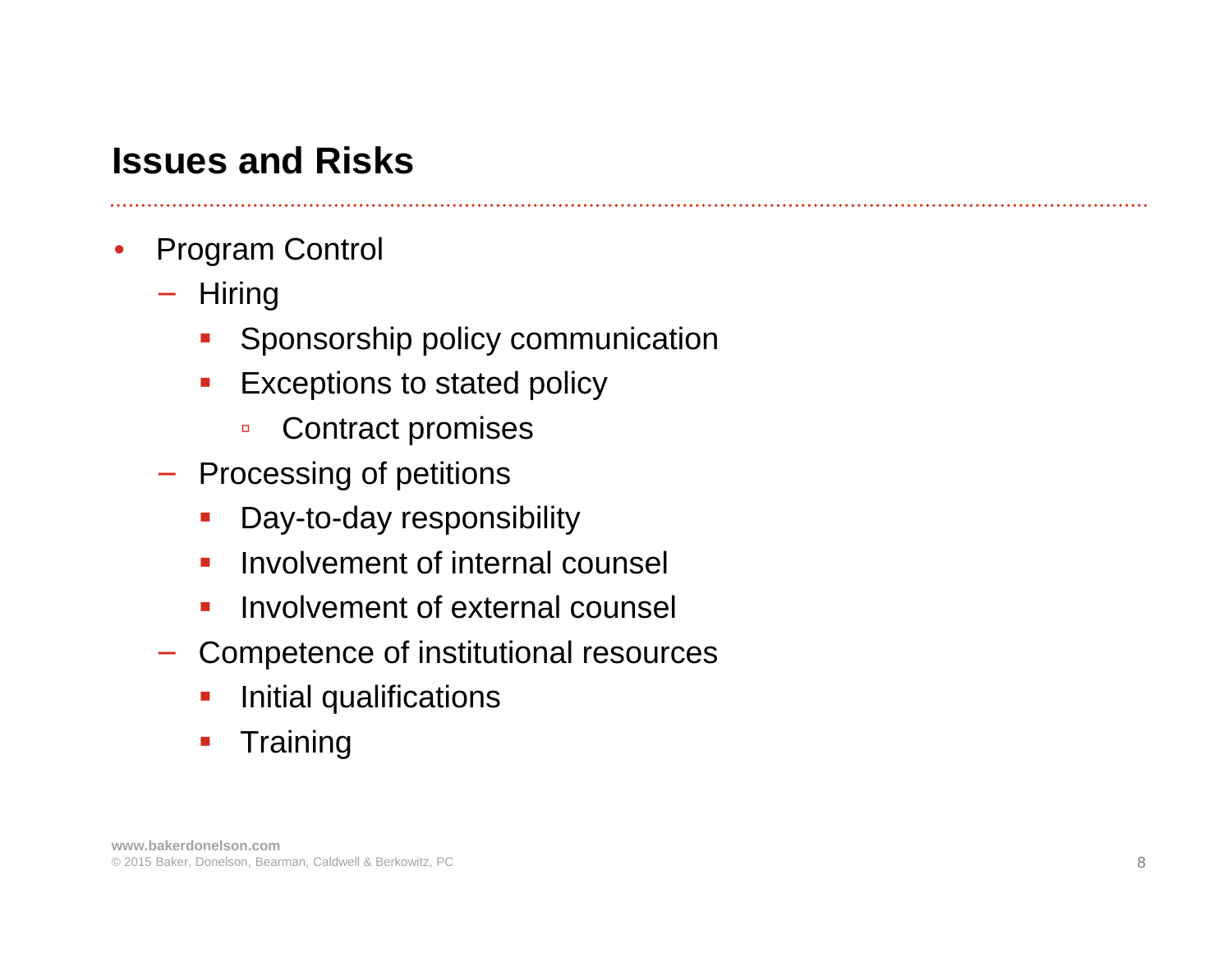#### **Issues and Risks**

- • Program Control
	- − Hiring
		- $\mathcal{L}_{\mathcal{A}}$ Sponsorship policy communication
		- $\mathcal{L}_{\mathcal{A}}$  Exceptions to stated policy
			- $\Box$ Contract promises
	- − Processing of petitions
		- $\mathcal{L}_{\mathcal{A}}$ Day-to-day responsibility
		- $\blacksquare$ Involvement of internal counsel
		- $\overline{\mathcal{A}}$ Involvement of external counsel
	- − Competence of institutional resources
		- $\mathcal{L}_{\mathcal{A}}$ Initial qualifications
		- $\mathcal{L}_{\mathcal{A}}$ **Training**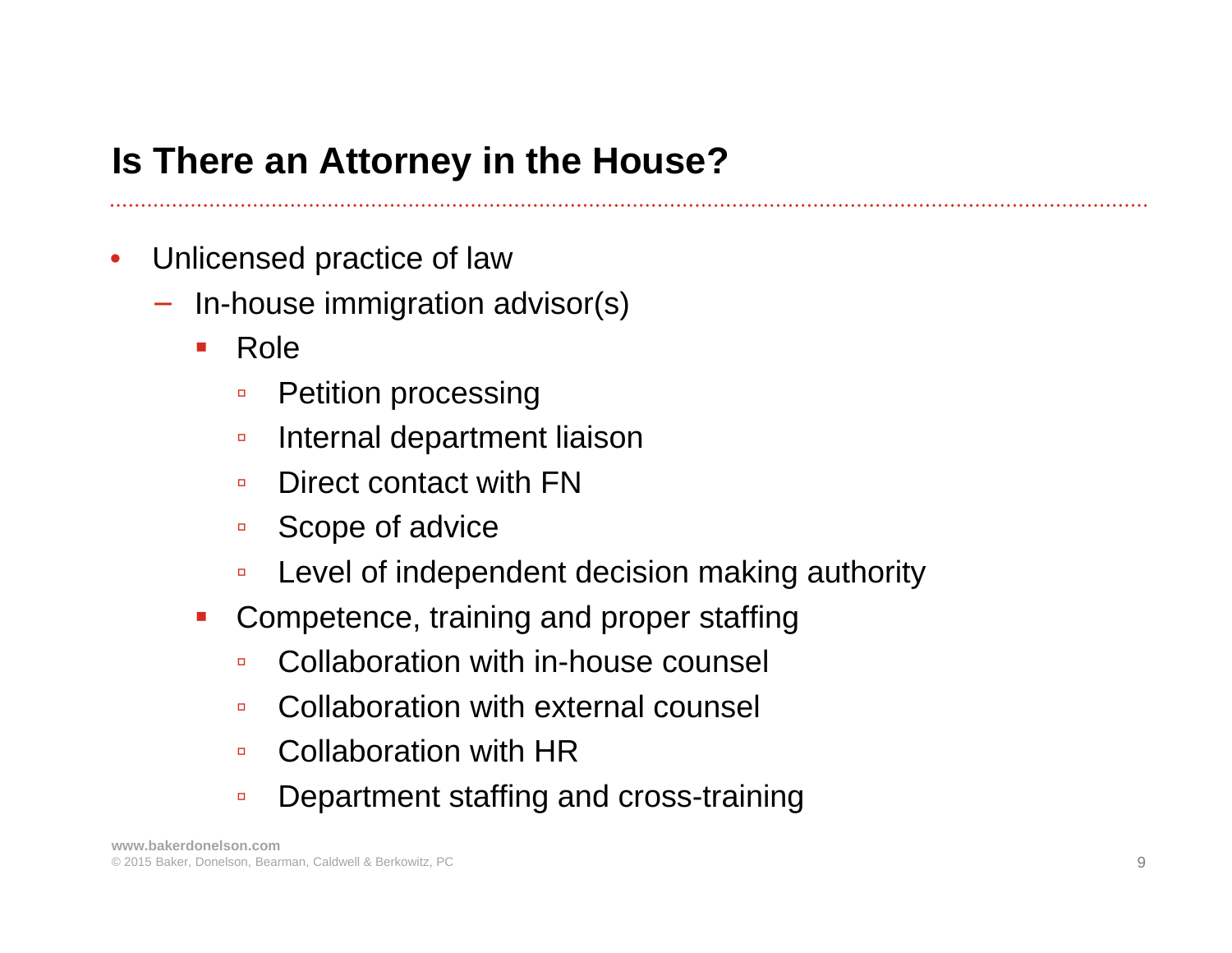## **Is There an Attorney in the House?**

- • Unlicensed practice of law
	- − In-house immigration advisor(s)
		- $\mathcal{L}_{\mathcal{A}}$  Role
			- $\Box$ Petition processing
			- $\Box$ Internal department liaison
			- $\Box$ Direct contact with FN
			- $\Box$ Scope of advice
			- $\Box$ Level of independent decision making authority
		- an<br>M Competence, training and proper staffing
			- $\Box$ Collaboration with in-house counsel
			- $\Box$ Collaboration with external counsel
			- $\Box$ Collaboration with HR
			- $\Box$ Department staffing and cross-training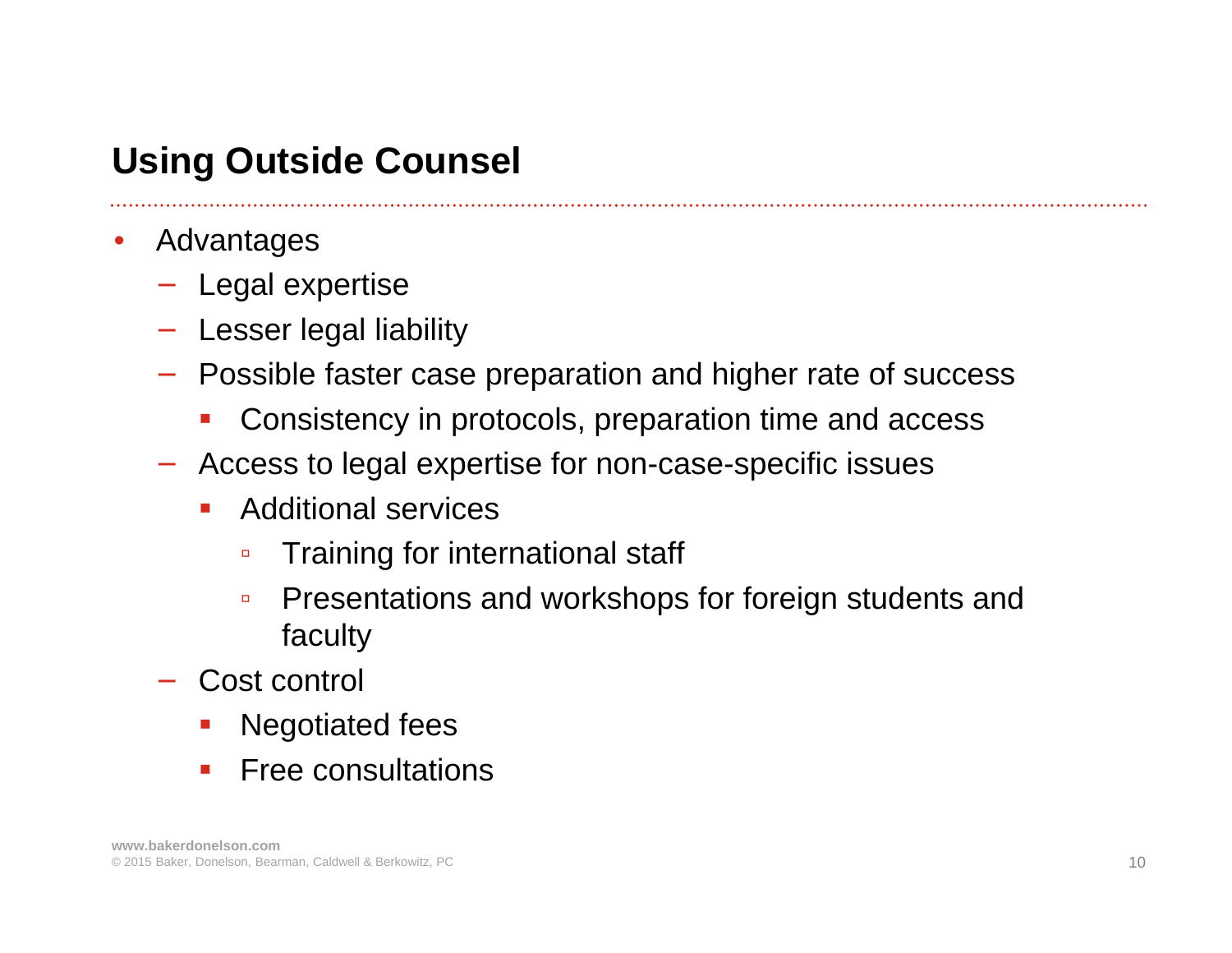## **Using Outside Counsel**

- $\bullet$  Advantages
	- − Legal expertise
	- − Lesser legal liability
	- − Possible faster case preparation and higher rate of success
		- $\mathcal{L}_{\mathcal{A}}$ Consistency in protocols, preparation time and access
	- − Access to legal expertise for non-case-specific issues
		- $\mathcal{L}$  Additional services
			- $\Box$ Training for international staff
			- $\Box$  Presentations and workshops for foreign students and faculty
	- Cost control
		- $\mathcal{L}(\mathcal{L})$ Negotiated fees
		- $\mathcal{L}_{\mathcal{A}}$ Free consultations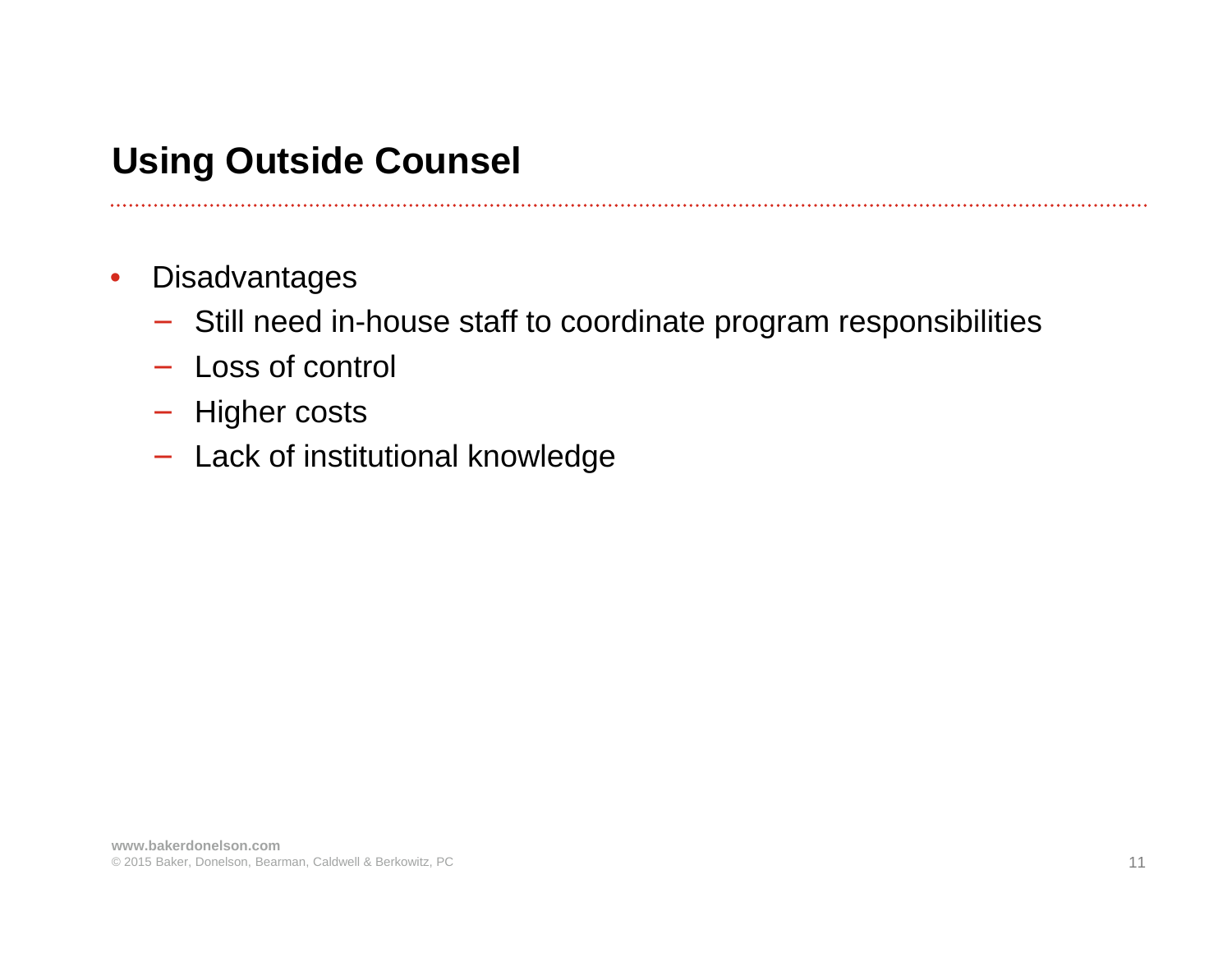# **Using Outside Counsel**

- $\bullet$ **Disadvantages** 
	- − Still need in-house staff to coordinate program responsibilities
	- − Loss of control
	- − Higher costs
	- − Lack of institutional knowledge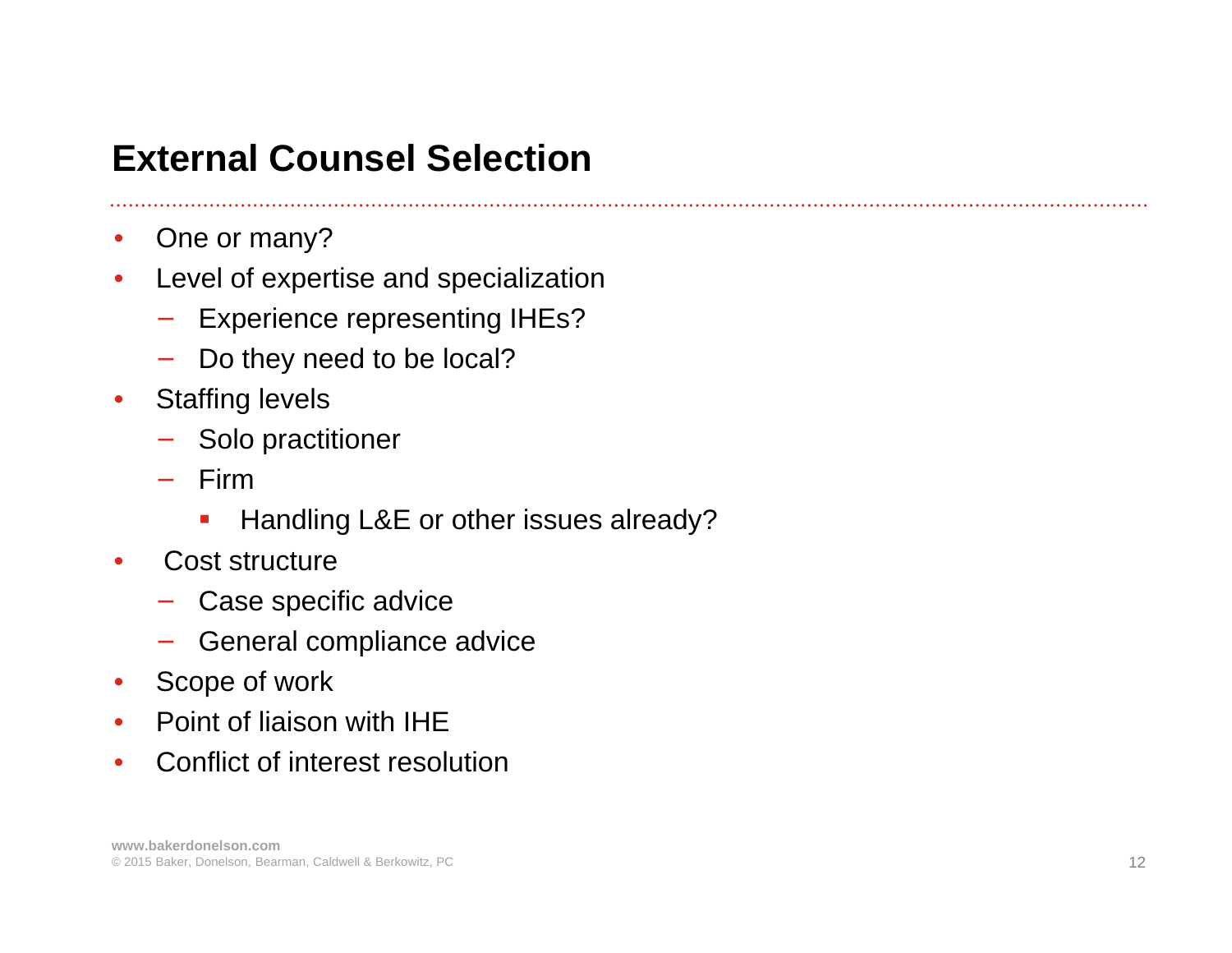#### **External Counsel Selection**

- $\bullet$ One or many?
- $\bullet$  Level of expertise and specialization
	- −Experience representing IHEs?
	- − Do they need to be local?
- • Staffing levels
	- − Solo practitioner
	- − Firm
		- $\blacksquare$ Handling L&E or other issues already?
- • Cost structure
	- −Case specific advice
	- − General compliance advice
- Scope of work
- •Point of liaison with IHE
- $\bullet$ Conflict of interest resolution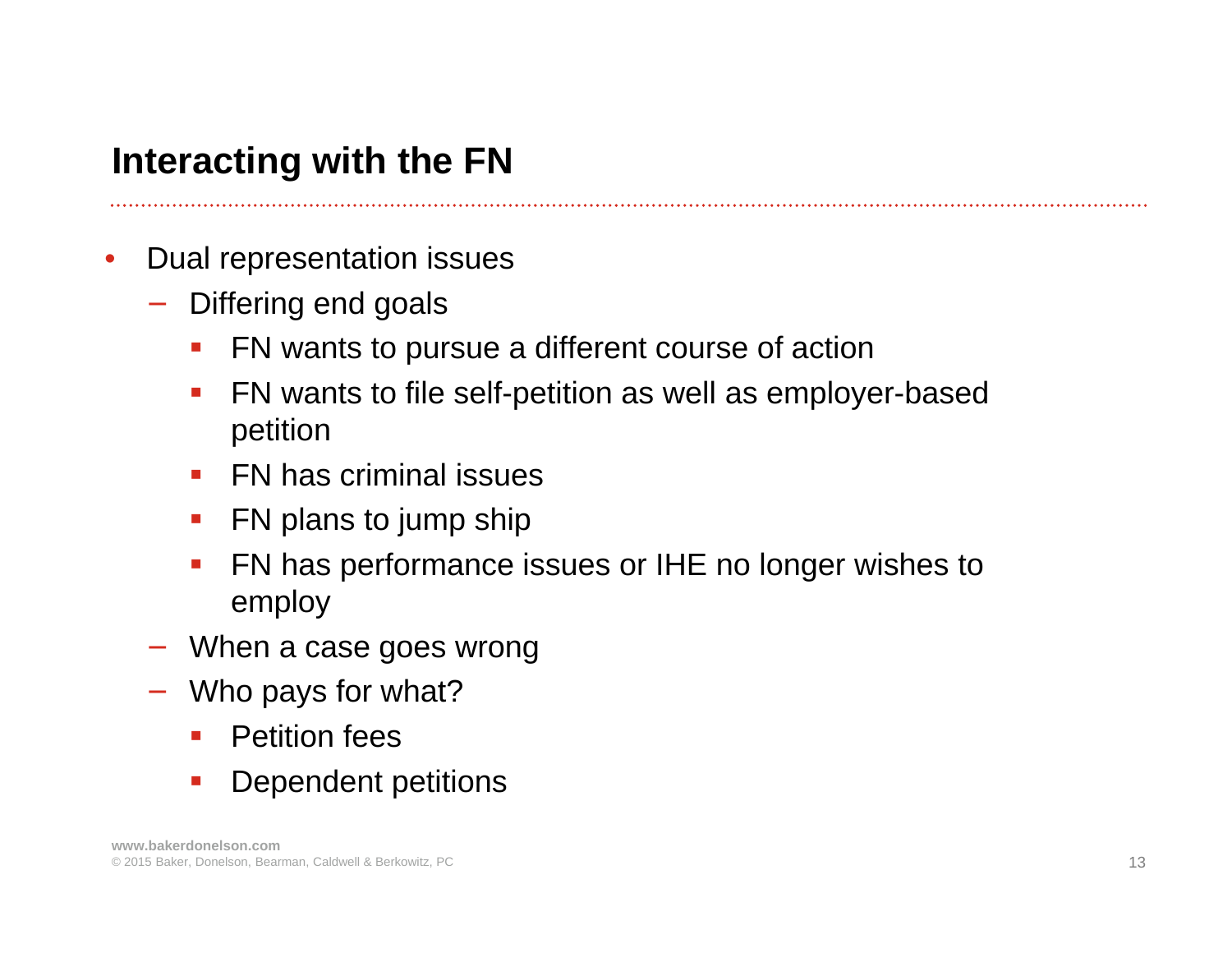# **Interacting with the FN**

- $\bullet$  Dual representation issues
	- − Differing end goals
		- $\mathcal{L}_{\mathcal{A}}$ FN wants to pursue a different course of action
		- $\mathcal{L}_{\mathcal{A}}$  FN wants to file self-petition as well as employer-based petition
		- FN has criminal issues
		- **FN** plans to jump ship
		- $\mathcal{L}_{\mathcal{A}}$  FN has performance issues or IHE no longer wishes to employ
	- − When a case goes wrong
	- − Who pays for what?
		- **•** Petition fees
		- $\mathcal{L}_{\mathcal{A}}$ Dependent petitions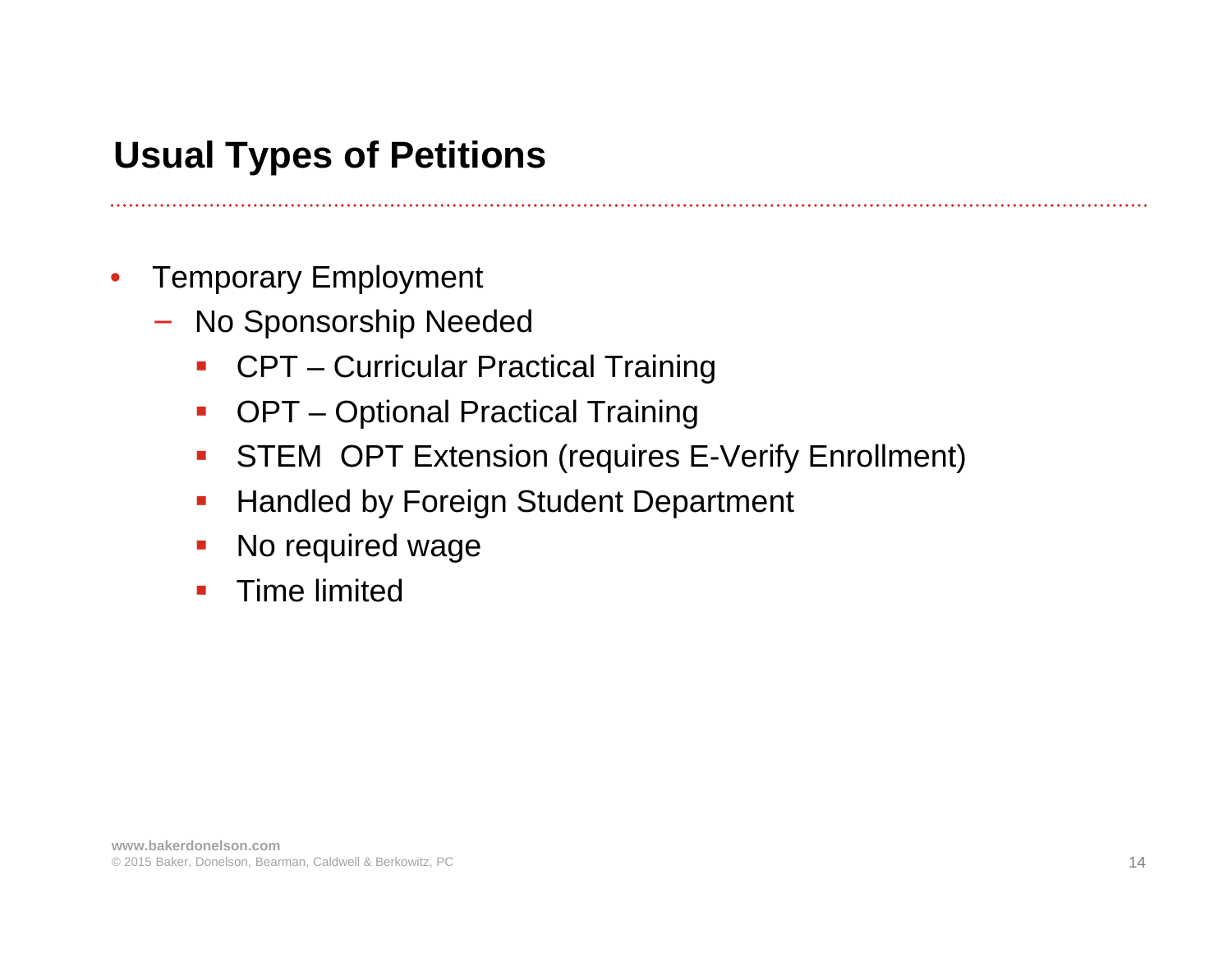# **Usual Types of Petitions**

- $\bullet$  Temporary Employment
	- − No Sponsorship Needed
		- CPT Curricular Practical Training
		- $\mathcal{L}_{\mathcal{A}}$ OPT – Optional Practical Training
		- $\mathcal{L}_{\mathcal{A}}$ STEM OPT Extension (requires E-Verify Enrollment)
		- $\mathcal{L}_{\mathcal{A}}$ Handled by Foreign Student Department
		- $\mathcal{L}_{\mathcal{A}}$ No required wage
		- $\blacksquare$ Time limited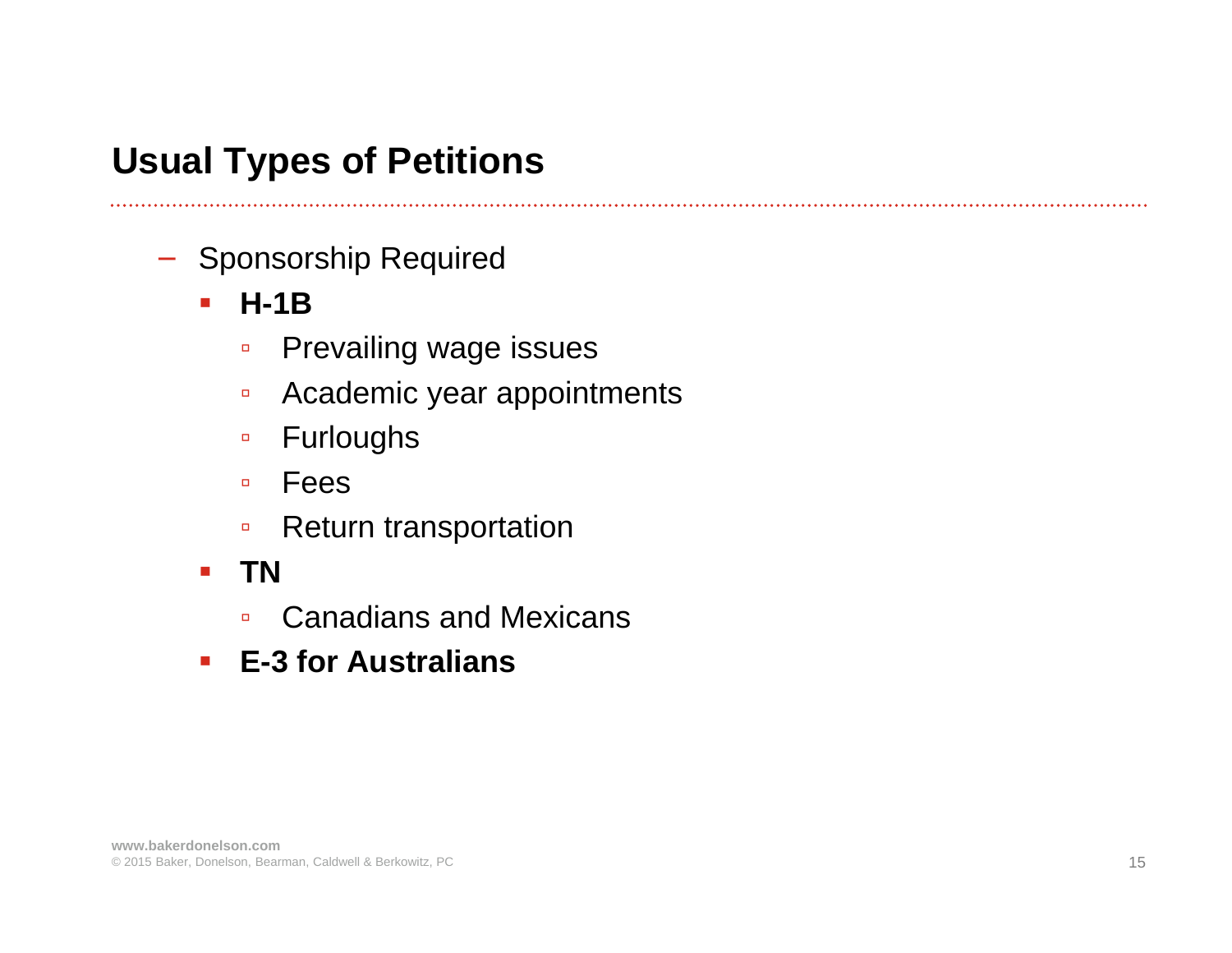## **Usual Types of Petitions**

- − Sponsorship Required
	- **H-1B**

- $\blacksquare$ Prevailing wage issues
- $\Box$ Academic year appointments
- Furloughs
- Fees
- $\Box$ Return transportation
- $\mathcal{L}_{\mathcal{A}}$  **TN**
	- $\Box$ Canadians and Mexicans
- **E-3 for Australians**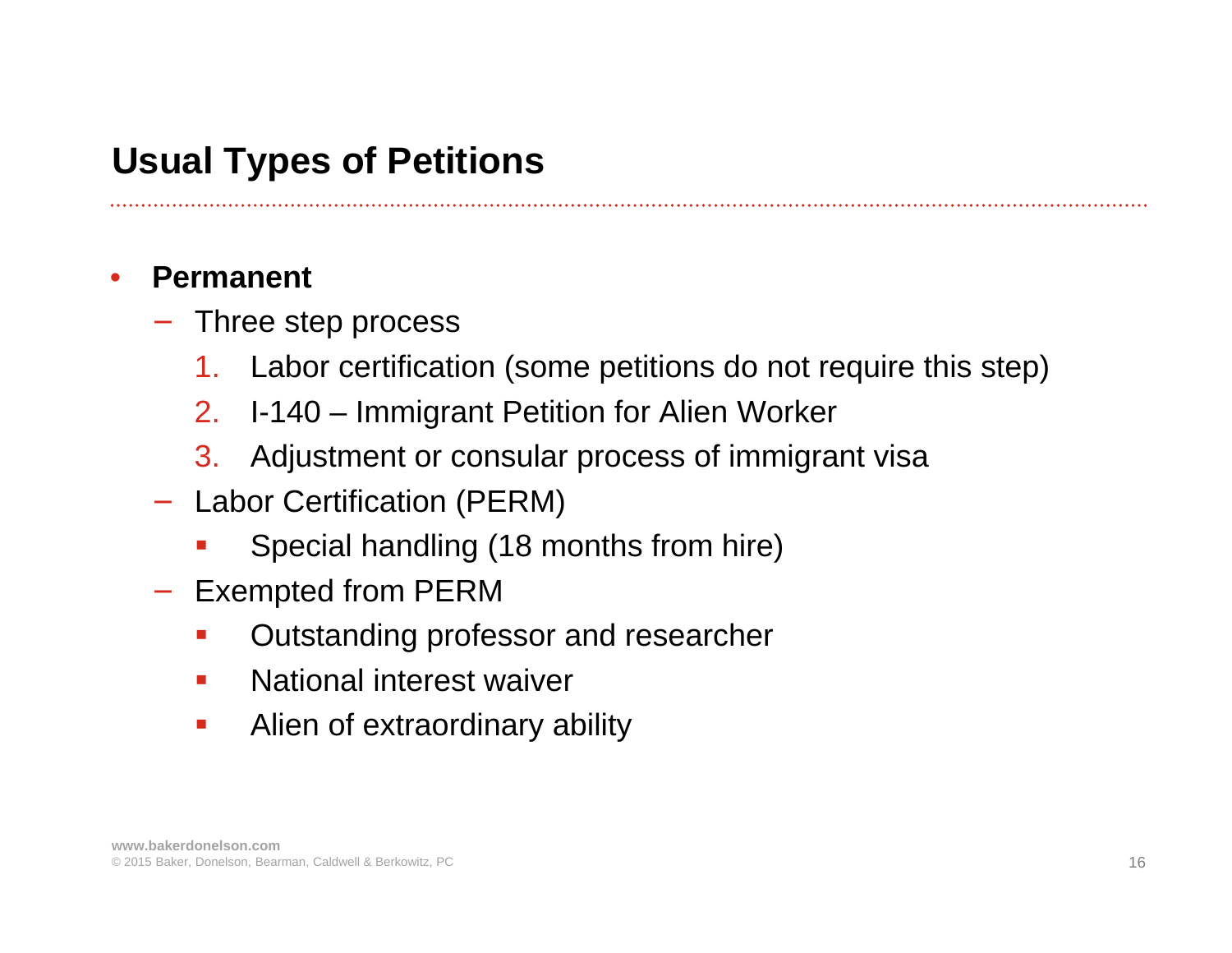#### **Usual Types of Petitions**

#### •**Permanent**

- − Three step process
	- 1.Labor certification (some petitions do not require this step)
	- 2.I-140 – Immigrant Petition for Alien Worker
	- 3. Adjustment or consular process of immigrant visa
- − Labor Certification (PERM)
	- an<br>M Special handling (18 months from hire)
- − Exempted from PERM
	- an<br>M Outstanding professor and researcher
	- $\overline{\phantom{a}}$ National interest waiver
	- $\mathcal{L}_{\mathcal{A}}$ Alien of extraordinary ability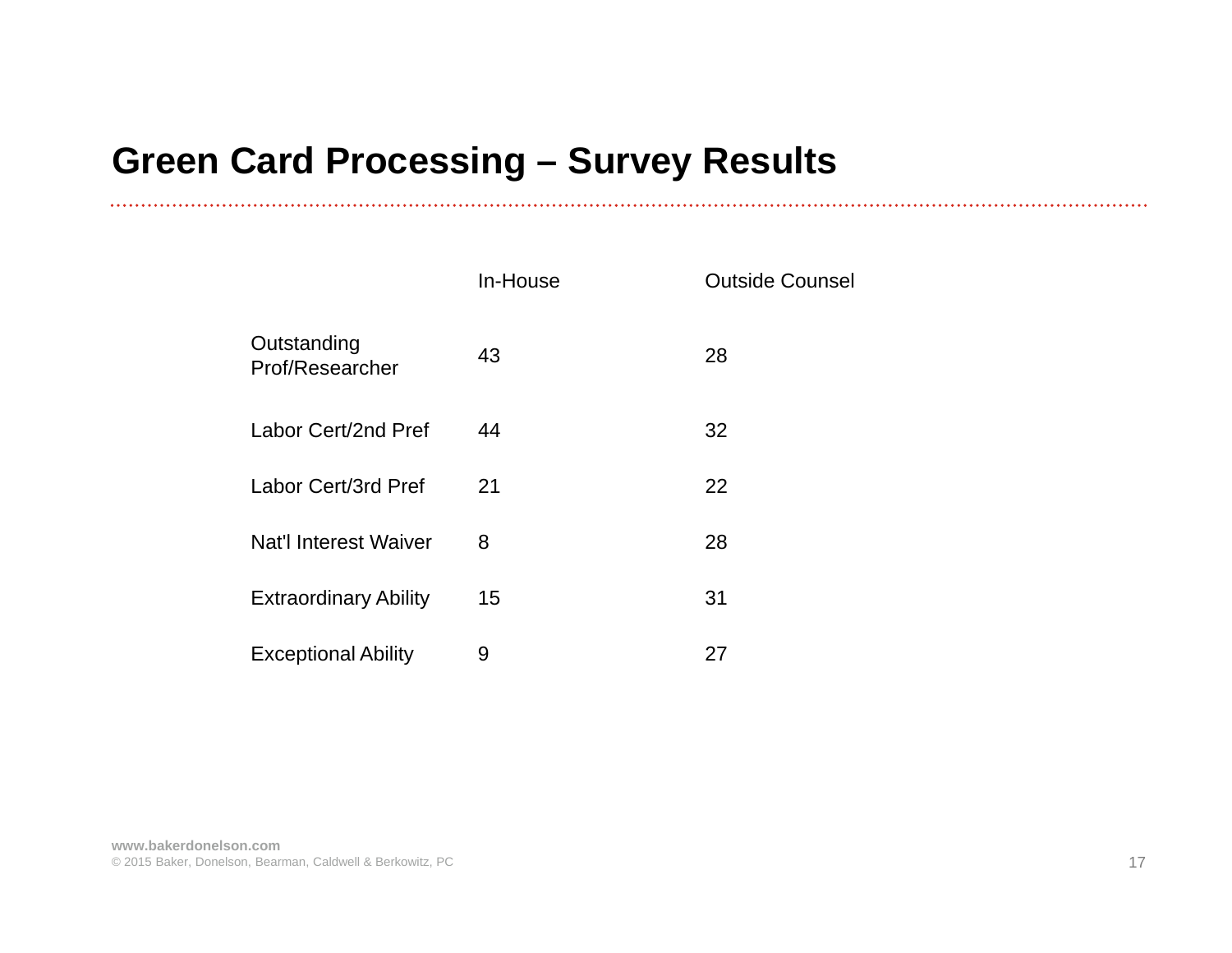# **Green Card Processing – Survey Results**

|                                | In-House | <b>Outside Counsel</b> |
|--------------------------------|----------|------------------------|
| Outstanding<br>Prof/Researcher | 43       | 28                     |
| Labor Cert/2nd Pref            | 44       | 32                     |
| Labor Cert/3rd Pref            | 21       | 22                     |
| <b>Nat'l Interest Waiver</b>   | 8        | 28                     |
| <b>Extraordinary Ability</b>   | 15       | 31                     |
| <b>Exceptional Ability</b>     | 9        | 27                     |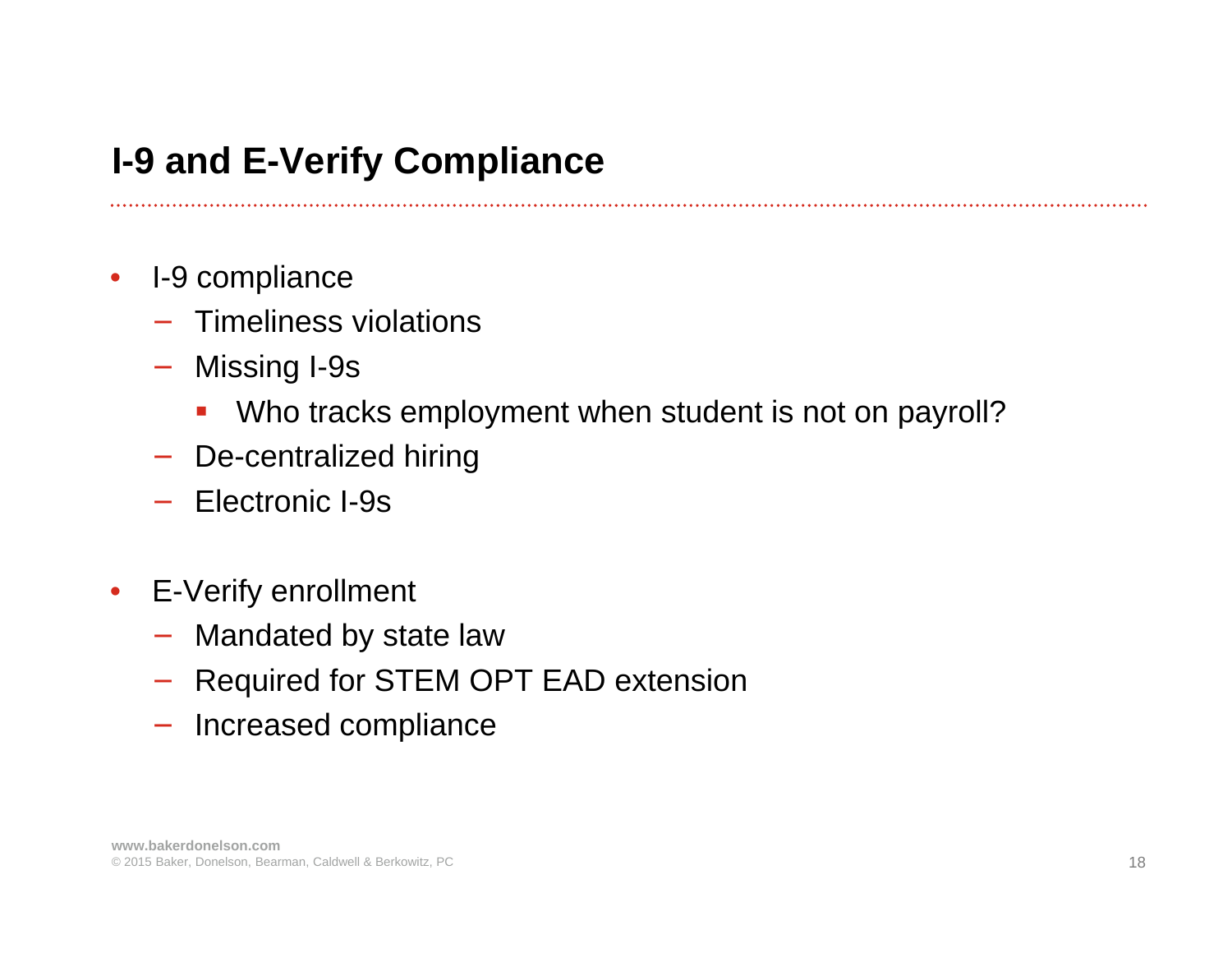# **I-9 and E-Verify Compliance**

- $\bullet$  I-9 compliance
	- − Timeliness violations
	- − Missing I-9s
		- $\mathcal{L}_{\mathcal{A}}$ Who tracks employment when student is not on payroll?

- −De-centralized hiring
- − Electronic I-9s
- $\bullet$  E-Verify enrollment
	- −Mandated by state law
	- −Required for STEM OPT EAD extension
	- − Increased compliance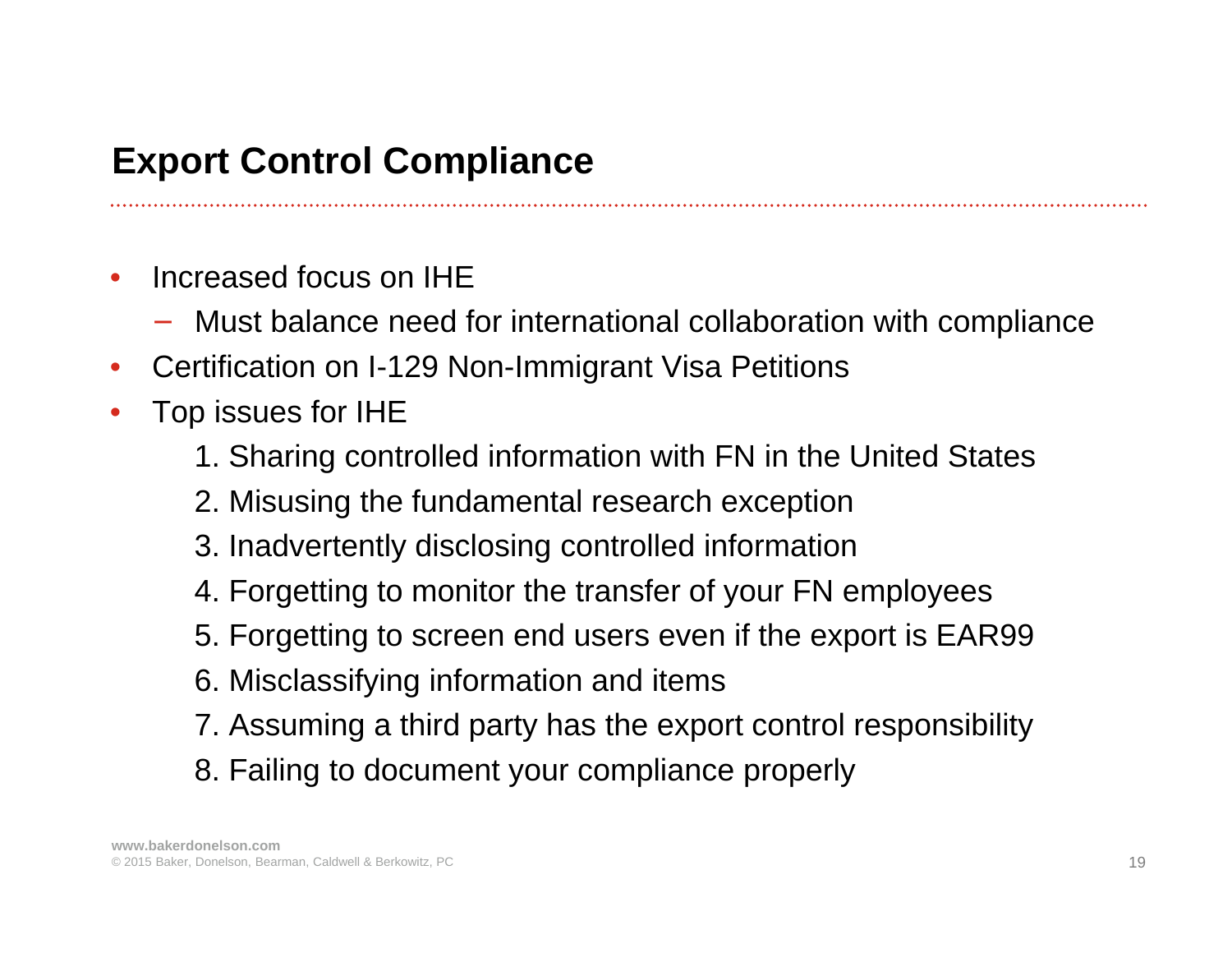# **Export Control Compliance**

- • Increased focus on IHE
	- − Must balance need for international collaboration with compliance
- $\bullet$ Certification on I-129 Non-Immigrant Visa Petitions
- • Top issues for IHE
	- 1. Sharing controlled information with FN in the United States
	- 2. Misusing the fundamental research exception
	- 3. Inadvertently disclosing controlled information
	- 4. Forgetting to monitor the transfer of your FN employees
	- 5. Forgetting to screen end users even if the export is EAR99
	- 6. Misclassifying information and items
	- 7. Assuming a third party has the export control responsibility
	- 8. Failing to document your compliance properly